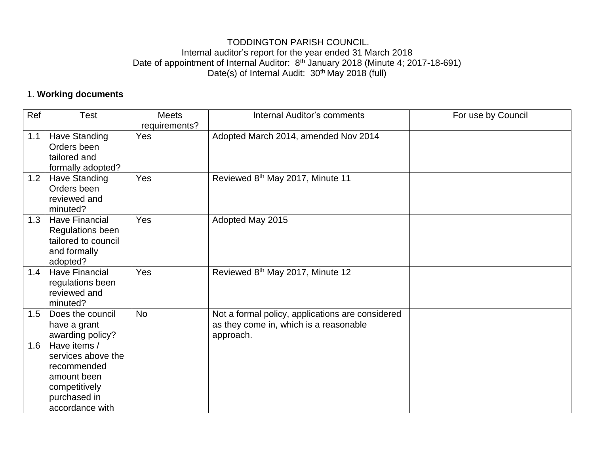#### TODDINGTON PARISH COUNCIL. Internal auditor's report for the year ended 31 March 2018 Date of appointment of Internal Auditor: 8<sup>th</sup> January 2018 (Minute 4; 2017-18-691) Date(s) of Internal Audit: 30<sup>th</sup> May 2018 (full)

### 1. **Working documents**

| Ref | <b>Test</b>                                                                                                          | <b>Meets</b><br>requirements? | <b>Internal Auditor's comments</b>                                                                      | For use by Council |
|-----|----------------------------------------------------------------------------------------------------------------------|-------------------------------|---------------------------------------------------------------------------------------------------------|--------------------|
| 1.1 | <b>Have Standing</b><br>Orders been<br>tailored and<br>formally adopted?                                             | Yes                           | Adopted March 2014, amended Nov 2014                                                                    |                    |
| 1.2 | Have Standing<br>Orders been<br>reviewed and<br>minuted?                                                             | Yes                           | Reviewed 8th May 2017, Minute 11                                                                        |                    |
| 1.3 | <b>Have Financial</b><br>Regulations been<br>tailored to council<br>and formally<br>adopted?                         | Yes                           | Adopted May 2015                                                                                        |                    |
| 1.4 | <b>Have Financial</b><br>regulations been<br>reviewed and<br>minuted?                                                | Yes                           | Reviewed 8th May 2017, Minute 12                                                                        |                    |
| 1.5 | Does the council<br>have a grant<br>awarding policy?                                                                 | <b>No</b>                     | Not a formal policy, applications are considered<br>as they come in, which is a reasonable<br>approach. |                    |
| 1.6 | Have items /<br>services above the<br>recommended<br>amount been<br>competitively<br>purchased in<br>accordance with |                               |                                                                                                         |                    |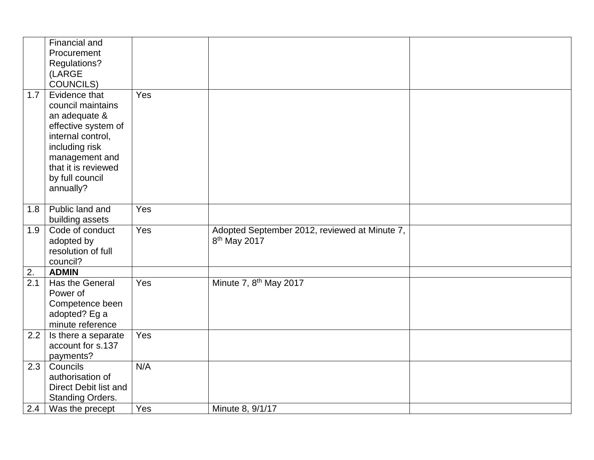|     | Financial and           |     |                                               |  |
|-----|-------------------------|-----|-----------------------------------------------|--|
|     | Procurement             |     |                                               |  |
|     | Regulations?            |     |                                               |  |
|     | (LARGE                  |     |                                               |  |
|     | <b>COUNCILS)</b>        |     |                                               |  |
| 1.7 | Evidence that           | Yes |                                               |  |
|     | council maintains       |     |                                               |  |
|     | an adequate &           |     |                                               |  |
|     | effective system of     |     |                                               |  |
|     | internal control,       |     |                                               |  |
|     |                         |     |                                               |  |
|     | including risk          |     |                                               |  |
|     | management and          |     |                                               |  |
|     | that it is reviewed     |     |                                               |  |
|     | by full council         |     |                                               |  |
|     | annually?               |     |                                               |  |
|     |                         |     |                                               |  |
| 1.8 | Public land and         | Yes |                                               |  |
|     | building assets         |     |                                               |  |
| 1.9 | Code of conduct         | Yes | Adopted September 2012, reviewed at Minute 7, |  |
|     | adopted by              |     | 8 <sup>th</sup> May 2017                      |  |
|     | resolution of full      |     |                                               |  |
|     | council?                |     |                                               |  |
| 2.  | <b>ADMIN</b>            |     |                                               |  |
| 2.1 | Has the General         | Yes | Minute 7, 8 <sup>th</sup> May 2017            |  |
|     | Power of                |     |                                               |  |
|     | Competence been         |     |                                               |  |
|     | adopted? Eg a           |     |                                               |  |
|     | minute reference        |     |                                               |  |
| 2.2 | Is there a separate     | Yes |                                               |  |
|     | account for s.137       |     |                                               |  |
|     | payments?               |     |                                               |  |
| 2.3 | Councils                | N/A |                                               |  |
|     | authorisation of        |     |                                               |  |
|     | Direct Debit list and   |     |                                               |  |
|     | <b>Standing Orders.</b> |     |                                               |  |
| 2.4 |                         | Yes |                                               |  |
|     | Was the precept         |     | Minute 8, 9/1/17                              |  |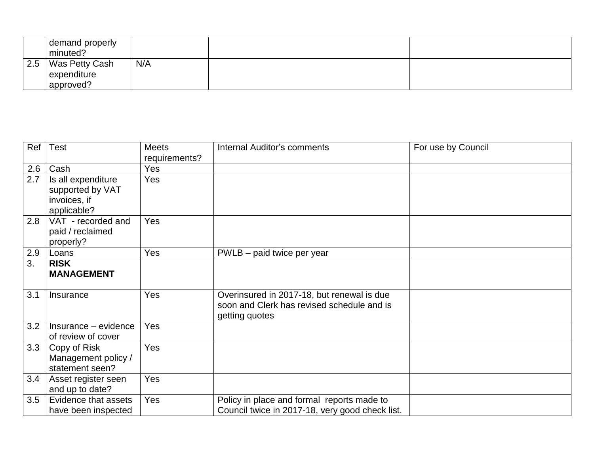|     | demand properly<br>minuted?                |     |  |
|-----|--------------------------------------------|-----|--|
| 2.5 | Was Petty Cash<br>expenditure<br>approved? | N/A |  |

| Ref              | <b>Test</b>                                                           | <b>Meets</b><br>requirements? | <b>Internal Auditor's comments</b>                                                                         | For use by Council |
|------------------|-----------------------------------------------------------------------|-------------------------------|------------------------------------------------------------------------------------------------------------|--------------------|
| 2.6              | Cash                                                                  | Yes                           |                                                                                                            |                    |
| 2.7              | Is all expenditure<br>supported by VAT<br>invoices, if<br>applicable? | Yes                           |                                                                                                            |                    |
| 2.8              | VAT - recorded and<br>paid / reclaimed<br>properly?                   | <b>Yes</b>                    |                                                                                                            |                    |
| 2.9              | Loans                                                                 | Yes                           | PWLB - paid twice per year                                                                                 |                    |
| 3.               | <b>RISK</b><br><b>MANAGEMENT</b>                                      |                               |                                                                                                            |                    |
| 3.1              | Insurance                                                             | Yes                           | Overinsured in 2017-18, but renewal is due<br>soon and Clerk has revised schedule and is<br>getting quotes |                    |
| 3.2              | Insurance - evidence<br>of review of cover                            | Yes                           |                                                                                                            |                    |
| 3.3 <sub>2</sub> | Copy of Risk<br>Management policy /<br>statement seen?                | Yes                           |                                                                                                            |                    |
| 3.4              | Asset register seen<br>and up to date?                                | Yes                           |                                                                                                            |                    |
| 3.5              | Evidence that assets<br>have been inspected                           | Yes                           | Policy in place and formal reports made to<br>Council twice in 2017-18, very good check list.              |                    |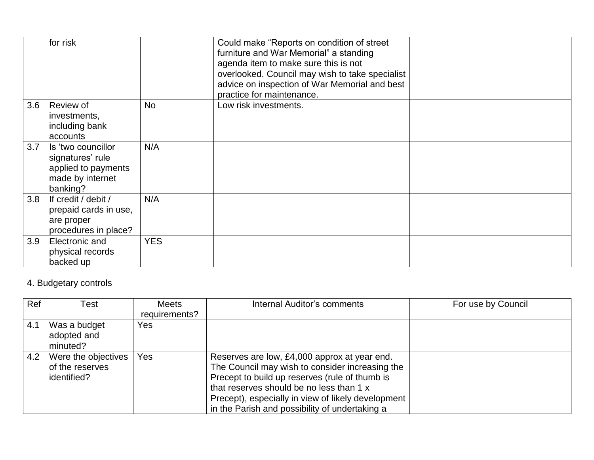|     | for risk                                                                                      |            | Could make "Reports on condition of street<br>furniture and War Memorial" a standing<br>agenda item to make sure this is not<br>overlooked. Council may wish to take specialist<br>advice on inspection of War Memorial and best<br>practice for maintenance. |  |
|-----|-----------------------------------------------------------------------------------------------|------------|---------------------------------------------------------------------------------------------------------------------------------------------------------------------------------------------------------------------------------------------------------------|--|
| 3.6 | Review of<br>investments,<br>including bank<br>accounts                                       | <b>No</b>  | Low risk investments.                                                                                                                                                                                                                                         |  |
| 3.7 | Is 'two councillor<br>signatures' rule<br>applied to payments<br>made by internet<br>banking? | N/A        |                                                                                                                                                                                                                                                               |  |
| 3.8 | If credit / debit /<br>prepaid cards in use,<br>are proper<br>procedures in place?            | N/A        |                                                                                                                                                                                                                                                               |  |
| 3.9 | Electronic and<br>physical records<br>backed up                                               | <b>YES</b> |                                                                                                                                                                                                                                                               |  |

### 4. Budgetary controls

| Ref | Test                | <b>Meets</b>  | Internal Auditor's comments                        | For use by Council |
|-----|---------------------|---------------|----------------------------------------------------|--------------------|
|     |                     | requirements? |                                                    |                    |
| 4.1 | Was a budget        | Yes           |                                                    |                    |
|     | adopted and         |               |                                                    |                    |
|     | minuted?            |               |                                                    |                    |
| 4.2 | Were the objectives | Yes           | Reserves are low, £4,000 approx at year end.       |                    |
|     | of the reserves     |               | The Council may wish to consider increasing the    |                    |
|     | identified?         |               | Precept to build up reserves (rule of thumb is     |                    |
|     |                     |               | that reserves should be no less than 1 x           |                    |
|     |                     |               | Precept), especially in view of likely development |                    |
|     |                     |               | in the Parish and possibility of undertaking a     |                    |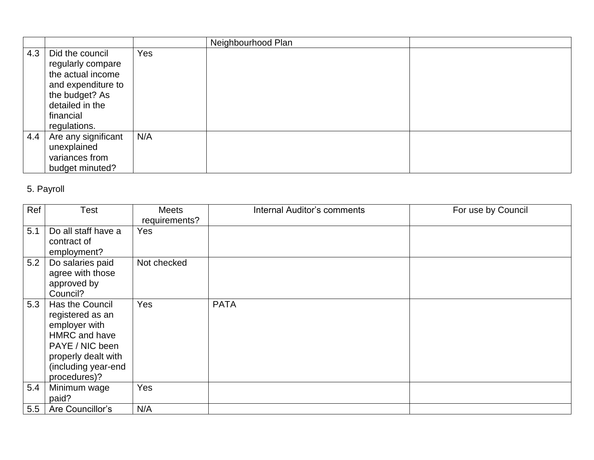|     |                                                                                                                                                   |     | Neighbourhood Plan |  |
|-----|---------------------------------------------------------------------------------------------------------------------------------------------------|-----|--------------------|--|
| 4.3 | Did the council<br>regularly compare<br>the actual income<br>and expenditure to<br>the budget? As<br>detailed in the<br>financial<br>regulations. | Yes |                    |  |
| 4.4 | Are any significant<br>unexplained<br>variances from<br>budget minuted?                                                                           | N/A |                    |  |

# 5. Payroll

| Ref | <b>Test</b>                                                                                                                                            | <b>Meets</b><br>requirements? | <b>Internal Auditor's comments</b> | For use by Council |
|-----|--------------------------------------------------------------------------------------------------------------------------------------------------------|-------------------------------|------------------------------------|--------------------|
| 5.1 | Do all staff have a<br>contract of<br>employment?                                                                                                      | Yes                           |                                    |                    |
| 5.2 | Do salaries paid<br>agree with those<br>approved by<br>Council?                                                                                        | Not checked                   |                                    |                    |
| 5.3 | Has the Council<br>registered as an<br>employer with<br>HMRC and have<br>PAYE / NIC been<br>properly dealt with<br>(including year-end<br>procedures)? | Yes                           | <b>PATA</b>                        |                    |
| 5.4 | Minimum wage<br>paid?                                                                                                                                  | Yes                           |                                    |                    |
| 5.5 | Are Councillor's                                                                                                                                       | N/A                           |                                    |                    |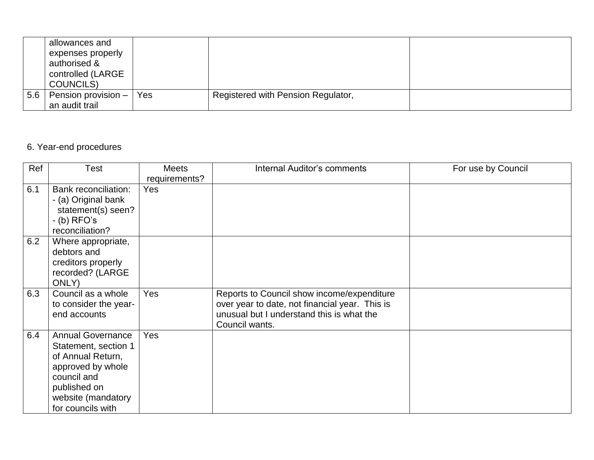|     | allowances and<br>expenses properly<br>authorised &<br>controlled (LARGE<br><b>COUNCILS)</b> |     |                                    |  |
|-----|----------------------------------------------------------------------------------------------|-----|------------------------------------|--|
| 5.6 | Pension provision $-$<br>an audit trail                                                      | Yes | Registered with Pension Regulator, |  |

# 6. Year-end procedures

| Ref | <b>Test</b>                                                                                                                                                          | <b>Meets</b><br>requirements? | Internal Auditor's comments                                                                                                                                 | For use by Council |
|-----|----------------------------------------------------------------------------------------------------------------------------------------------------------------------|-------------------------------|-------------------------------------------------------------------------------------------------------------------------------------------------------------|--------------------|
| 6.1 | <b>Bank reconciliation:</b><br>- (a) Original bank<br>statement(s) seen?<br>$-(b)$ RFO's<br>reconciliation?                                                          | <b>Yes</b>                    |                                                                                                                                                             |                    |
| 6.2 | Where appropriate,<br>debtors and<br>creditors properly<br>recorded? (LARGE<br>ONLY)                                                                                 |                               |                                                                                                                                                             |                    |
| 6.3 | Council as a whole<br>to consider the year-<br>end accounts                                                                                                          | Yes                           | Reports to Council show income/expenditure<br>over year to date, not financial year. This is<br>unusual but I understand this is what the<br>Council wants. |                    |
| 6.4 | <b>Annual Governance</b><br>Statement, section 1<br>of Annual Return,<br>approved by whole<br>council and<br>published on<br>website (mandatory<br>for councils with | <b>Yes</b>                    |                                                                                                                                                             |                    |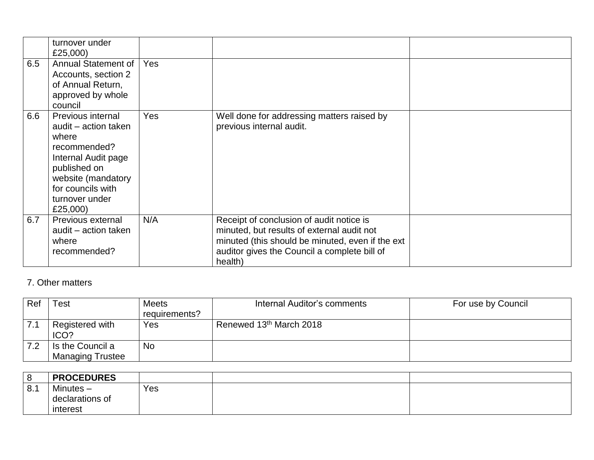|     | turnover under<br>£25,000)                                                                                                                                                         |            |                                                                                                                                                                                                       |  |
|-----|------------------------------------------------------------------------------------------------------------------------------------------------------------------------------------|------------|-------------------------------------------------------------------------------------------------------------------------------------------------------------------------------------------------------|--|
| 6.5 | Annual Statement of<br>Accounts, section 2<br>of Annual Return,<br>approved by whole<br>council                                                                                    | Yes        |                                                                                                                                                                                                       |  |
| 6.6 | Previous internal<br>audit - action taken<br>where<br>recommended?<br>Internal Audit page<br>published on<br>website (mandatory<br>for councils with<br>turnover under<br>£25,000) | <b>Yes</b> | Well done for addressing matters raised by<br>previous internal audit.                                                                                                                                |  |
| 6.7 | Previous external<br>audit - action taken<br>where<br>recommended?                                                                                                                 | N/A        | Receipt of conclusion of audit notice is<br>minuted, but results of external audit not<br>minuted (this should be minuted, even if the ext<br>auditor gives the Council a complete bill of<br>health) |  |

#### 7. Other matters

| Ref | est                                         | Meets<br>requirements? | Internal Auditor's comments | For use by Council |
|-----|---------------------------------------------|------------------------|-----------------------------|--------------------|
|     | Registered with<br>ICO?                     | Yes                    | Renewed 13th March 2018     |                    |
|     | Is the Council a<br><b>Managing Trustee</b> | <b>No</b>              |                             |                    |

| 8   | <b>PROCEDURES</b> |     |
|-----|-------------------|-----|
| 8.1 | <b>Minutes</b>    | Yes |
|     | declarations of   |     |
|     | interest          |     |